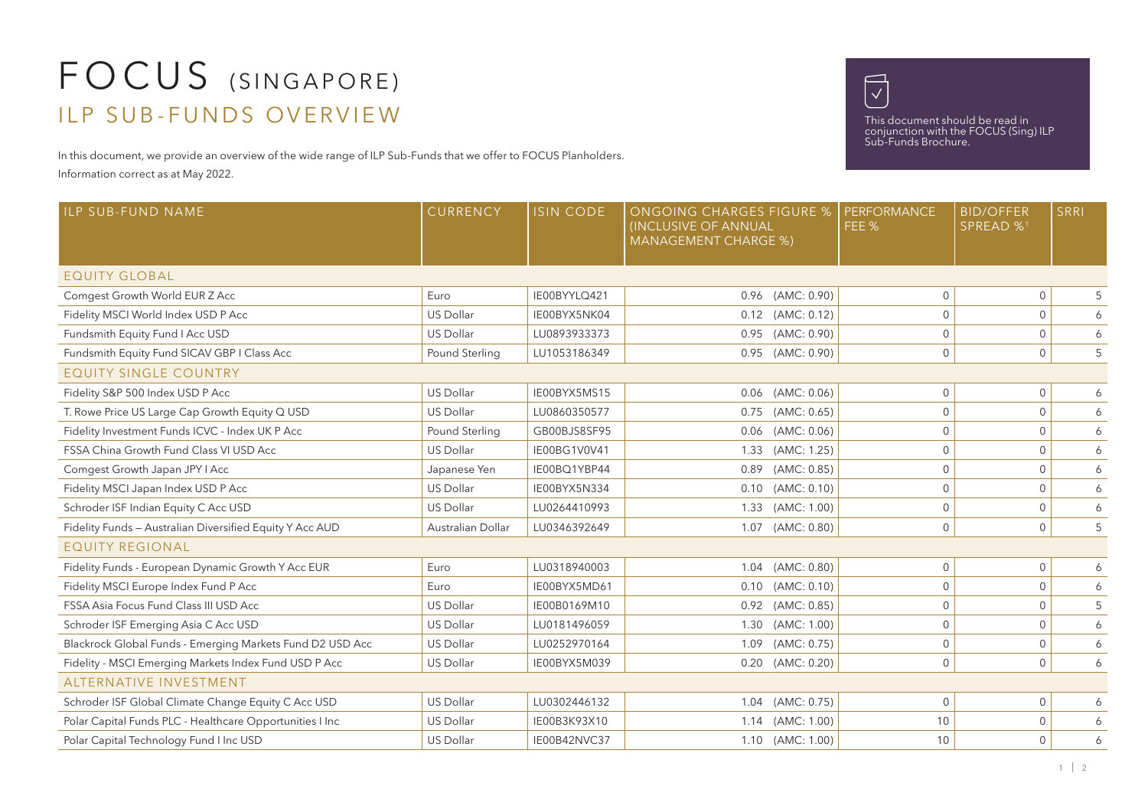## FOCUS (SINGAPORE) ILP SUB-FUNDS OVERVIEW

In this document, we provide an overview of the wide range of ILP Sub-Funds that we offer to FOCUS Planholders.

Information correct as at May 2022.



This document should be read in conjunction with the FOCUS (Sing) ILP Sub-Funds Brochure.

| <b>ILP SUB-FUND NAME</b>                                  | CURRENCY          | <b>ISIN CODE</b> | <b>ONGOING CHARGES FIGURE %</b><br><b>(INCLUSIVE OF ANNUAL</b><br><b>MANAGEMENT CHARGE %)</b> |                       | <b>PERFORMANCE</b><br>FEE % | <b>BID/OFFER</b><br>SPREAD % <sup>1</sup> | SRRI |
|-----------------------------------------------------------|-------------------|------------------|-----------------------------------------------------------------------------------------------|-----------------------|-----------------------------|-------------------------------------------|------|
| <b>EQUITY GLOBAL</b>                                      |                   |                  |                                                                                               |                       |                             |                                           |      |
| Comgest Growth World EUR Z Acc                            | Euro              | IE00BYYLO421     |                                                                                               | 0.96 (AMC: 0.90)      | $\mathbf{0}$                | $\mathbf{0}$                              | 5    |
| Fidelity MSCI World Index USD P Acc                       | <b>US Dollar</b>  | IE00BYX5NK04     |                                                                                               | 0.12 (AMC: 0.12)      | $\Omega$                    | $\mathbf{0}$                              | 6    |
| Fundsmith Equity Fund I Acc USD                           | <b>US Dollar</b>  | LU0893933373     |                                                                                               | $0.95$ (AMC: $0.90$ ) | 0                           | $\mathbf 0$                               | 6    |
| Fundsmith Equity Fund SICAV GBP I Class Acc               | Pound Sterling    | LU1053186349     |                                                                                               | 0.95 (AMC: 0.90)      | 0                           | $\mathsf{O}\xspace$                       | 5    |
| <b>EQUITY SINGLE COUNTRY</b>                              |                   |                  |                                                                                               |                       |                             |                                           |      |
| Fidelity S&P 500 Index USD P Acc                          | <b>US Dollar</b>  | IE00BYX5MS15     |                                                                                               | $0.06$ (AMC: $0.06$ ) | 0                           | $\mathbf 0$                               | 6    |
| T. Rowe Price US Large Cap Growth Equity Q USD            | <b>US Dollar</b>  | LU0860350577     | 0.75                                                                                          | (AMC: 0.65)           | $\mathbf{0}$                | $\mathbf 0$                               | 6    |
| Fidelity Investment Funds ICVC - Index UK P Acc           | Pound Sterling    | GB00BJS8SF95     |                                                                                               | $0.06$ (AMC: $0.06$ ) | 0                           | $\mathbf 0$                               | 6    |
| FSSA China Growth Fund Class VI USD Acc                   | US Dollar         | IE00BG1V0V41     | 1.33                                                                                          | (AMC: 1.25)           | $\Omega$                    | $\mathbf{0}$                              | 6    |
| Comgest Growth Japan JPY I Acc                            | Japanese Yen      | IE00BQ1YBP44     |                                                                                               | 0.89 (AMC: 0.85)      | $\mathbf{0}$                | $\mathbf 0$                               | 6    |
| Fidelity MSCI Japan Index USD P Acc                       | <b>US Dollar</b>  | IE00BYX5N334     |                                                                                               | $0.10$ (AMC: $0.10$ ) | $\mathbf{0}$                | $\mathbf{0}$                              | 6    |
| Schroder ISF Indian Equity C Acc USD                      | <b>US Dollar</b>  | LU0264410993     |                                                                                               | 1.33 (AMC: 1.00)      | $\mathbf{0}$                | $\mathsf{O}\xspace$                       | 6    |
| Fidelity Funds - Australian Diversified Equity Y Acc AUD  | Australian Dollar | LU0346392649     |                                                                                               | 1.07 (AMC: 0.80)      | $\mathbf{0}$                | $\mathbf{0}$                              | 5    |
| <b>EQUITY REGIONAL</b>                                    |                   |                  |                                                                                               |                       |                             |                                           |      |
| Fidelity Funds - European Dynamic Growth Y Acc EUR        | Euro              | LU0318940003     |                                                                                               | 1.04 (AMC: 0.80)      | 0                           | $\mathbf 0$                               | 6    |
| Fidelity MSCI Europe Index Fund P Acc                     | Euro              | IE00BYX5MD61     |                                                                                               | $0.10$ (AMC: $0.10$ ) | $\Omega$                    | $\Omega$                                  | 6    |
| FSSA Asia Focus Fund Class III USD Acc                    | <b>US Dollar</b>  | IE00B0169M10     |                                                                                               | 0.92 (AMC: 0.85)      | 0                           | $\mathbf 0$                               | 5    |
| Schroder ISF Emerging Asia C Acc USD                      | US Dollar         | LU0181496059     |                                                                                               | 1.30 (AMC: 1.00)      | 0                           | $\mathbf 0$                               | 6    |
| Blackrock Global Funds - Emerging Markets Fund D2 USD Acc | <b>US Dollar</b>  | LU0252970164     |                                                                                               | 1.09 (AMC: 0.75)      | $\mathbf{0}$                | $\mathbf{0}$                              | 6    |
| Fidelity - MSCI Emerging Markets Index Fund USD P Acc     | <b>US Dollar</b>  | IE00BYX5M039     |                                                                                               | $0.20$ (AMC: $0.20$ ) | $\mathbf 0$                 | $\mathbf 0$                               | 6    |
| ALTERNATIVE INVESTMENT                                    |                   |                  |                                                                                               |                       |                             |                                           |      |
| Schroder ISF Global Climate Change Equity C Acc USD       | <b>US Dollar</b>  | LU0302446132     |                                                                                               | 1.04 (AMC: 0.75)      | $\mathbf{0}$                | $\mathbf 0$                               | 6    |
| Polar Capital Funds PLC - Healthcare Opportunities I Inc  | US Dollar         | IE00B3K93X10     |                                                                                               | 1.14 (AMC: 1.00)      | 10                          | $\mathbf 0$                               | 6    |
| Polar Capital Technology Fund I Inc USD                   | <b>US Dollar</b>  | IE00B42NVC37     |                                                                                               | 1.10 (AMC: 1.00)      | 10                          | $\mathbf{0}$                              | 6    |